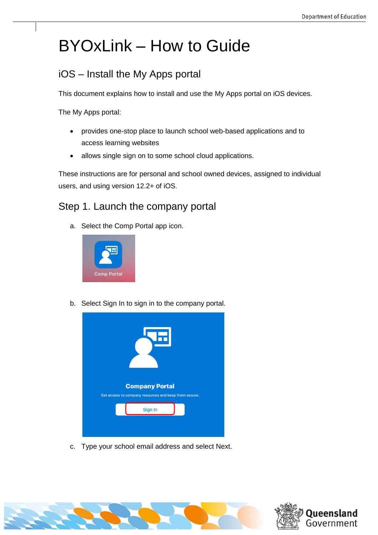## BYOxLink – How to Guide

## iOS – Install the My Apps portal

This document explains how to install and use the My Apps portal on iOS devices.

The My Apps portal:

- provides one-stop place to launch school web-based applications and to access learning websites
- allows single sign on to some school cloud applications.

These instructions are for personal and school owned devices, assigned to individual users, and using version 12.2+ of iOS.

## Step 1. Launch the company portal

a. Select the Comp Portal app icon.



b. Select Sign In to sign in to the company portal.



c. Type your school email address and select Next.



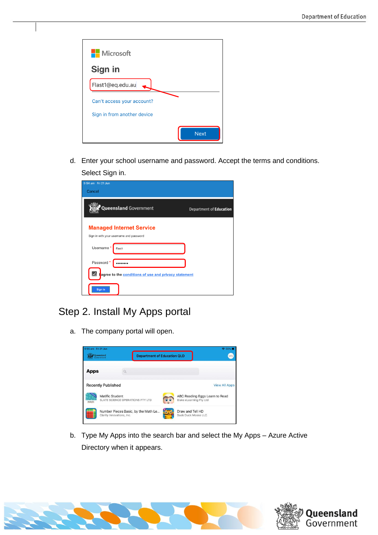| <b>Nicrosoft</b>            |             |
|-----------------------------|-------------|
| Sign in                     |             |
| Flast1@eq.edu.au            |             |
| Can't access your account?  |             |
| Sign in from another device |             |
|                             | <b>Next</b> |

d. Enter your school username and password. Accept the terms and conditions. Select Sign in.

| 9:54 am Fri 21 Jun<br>Cancel                                               |                                |  |  |  |
|----------------------------------------------------------------------------|--------------------------------|--|--|--|
| Queensland Government                                                      | Department of <b>Education</b> |  |  |  |
| <b>Managed Internet Service</b><br>Sign in with your username and password |                                |  |  |  |
| Username<br>Flast1                                                         |                                |  |  |  |
| Password <sup>*</sup>                                                      |                                |  |  |  |
| agree to the conditions of use and privacy statement                       |                                |  |  |  |
| Sign in                                                                    |                                |  |  |  |

## Step 2. Install My Apps portal

a. The company portal will open.

| 9:55 am Fri 21 Jun | Queensland<br>Covernment<br><b>Department of Education QLD</b>   |   | 令 50%<br>MS                                               |
|--------------------|------------------------------------------------------------------|---|-----------------------------------------------------------|
| <b>Apps</b>        |                                                                  |   |                                                           |
|                    | <b>Recently Published</b>                                        |   | <b>View All Apps</b>                                      |
| matific            | Matific Student<br>SLATE SCIENCE OPERATIONS PTY LTD              |   | ABC Reading Eggs Learn to Read<br>Blake eLearning Pty Ltd |
|                    | Number Pieces Basic, by the Math Le<br>Clarity Innovations, Inc. | ō | Draw and Tell HD<br>Duck Duck Moose LLC                   |

b. Type My Apps into the search bar and select the My Apps – Azure Active Directory when it appears.



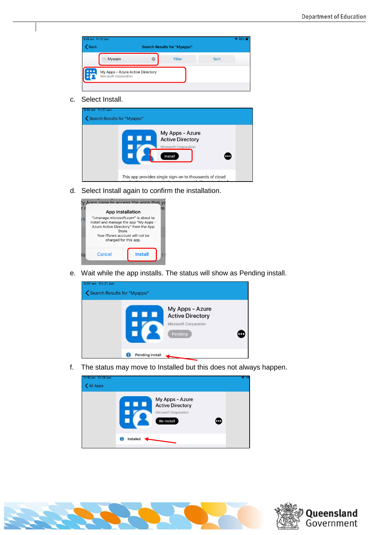| 9:56 am Fri 21 Jun |                                                           |   |               |             | $\approx 50\%$ |
|--------------------|-----------------------------------------------------------|---|---------------|-------------|----------------|
| <b>Back</b>        | <b>Search Results for "Myapps"</b>                        |   |               |             |                |
|                    | <b>Myapps</b>                                             | ග | <b>Filter</b> | <b>Sort</b> |                |
|                    | My Apps - Azure Active Directory<br>Microsoft Corporation |   |               |             |                |

c. Select Install.

| Jun<br>Search Results for "Myapps" |                                                                                       |          |
|------------------------------------|---------------------------------------------------------------------------------------|----------|
|                                    | My Apps - Azure<br><b>Active Directory</b><br>Microsoft Corporation<br><b>Install</b> | $\cdots$ |
|                                    | This app provides single sign-on to thousands of cloud                                |          |

d. Select Install again to confirm the installation.



e. Wait while the app installs. The status will show as Pending install.



f. The status may move to Installed but this does not always happen.